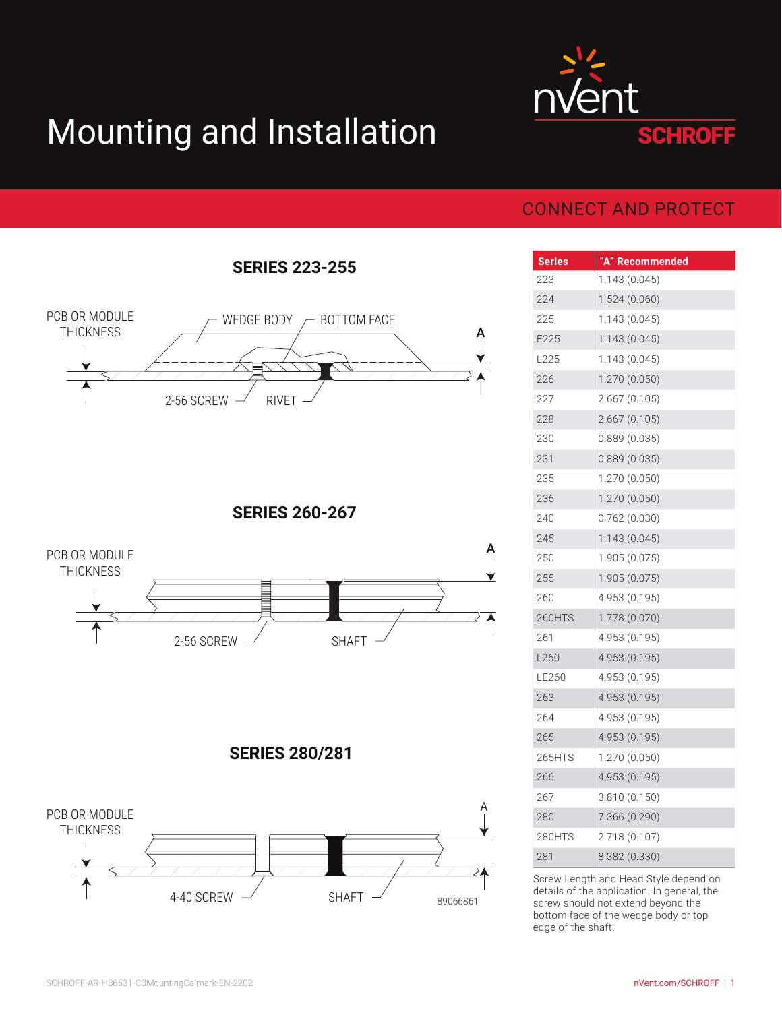## Mounting and Installation



## CONNECT AND PROTECT

| <b>Series</b> | "A" Recommended |
|---------------|-----------------|
| 223           | 1.143 (0.045)   |
| 224           | 1.524(0.060)    |
| 225           | 1.143 (0.045)   |
| E225          | 1.143(0.045)    |
| L225          | 1.143 (0.045)   |
| 226           | 1.270 (0.050)   |
| 227           | 2.667(0.105)    |
| 228           | 2.667(0.105)    |
| 230           | 0.889(0.035)    |
| 231           | 0.889(0.035)    |
| 235           | 1.270 (0.050)   |
| 236           | 1.270 (0.050)   |
| 240           | 0.762(0.030)    |
| 245           | 1.143 (0.045)   |
| 250           | 1.905 (0.075)   |
| 255           | 1.905 (0.075)   |
| 260           | 4.953 (0.195)   |
| <b>260HTS</b> | 1.778 (0.070)   |
| 261           | 4.953 (0.195)   |
| L260          | 4.953 (0.195)   |
| LE260         | 4.953 (0.195)   |
| 263           | 4.953 (0.195)   |
| 264           | 4.953 (0.195)   |
| 265           | 4.953 (0.195)   |
| 265HTS        | 1.270 (0.050)   |
| 266           | 4.953 (0.195)   |
| 267           | 3.810 (0.150)   |
| 280           | 7.366 (0.290)   |
| 280HTS        | 2.718 (0.107)   |
| 281           | 8.382 (0.330)   |

Screw Length and Head Style depend on details of the application. In general, the screw should not extend beyond the bottom face of the wedge body or top edge of the shaft.

**SERIES 223-255**



**SERIES 260-267**



## **SERIES 280/281**